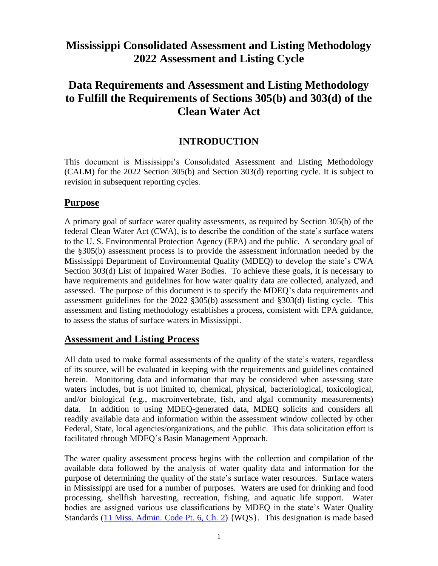# **Mississippi Consolidated Assessment and Listing Methodology 2022 Assessment and Listing Cycle**

# **Data Requirements and Assessment and Listing Methodology to Fulfill the Requirements of Sections 305(b) and 303(d) of the Clean Water Act**

## **INTRODUCTION**

This document is Mississippi's Consolidated Assessment and Listing Methodology (CALM) for the 2022 Section 305(b) and Section 303(d) reporting cycle. It is subject to revision in subsequent reporting cycles.

## **Purpose**

A primary goal of surface water quality assessments, as required by Section 305(b) of the federal Clean Water Act (CWA), is to describe the condition of the state's surface waters to the U. S. Environmental Protection Agency (EPA) and the public. A secondary goal of the §305(b) assessment process is to provide the assessment information needed by the Mississippi Department of Environmental Quality (MDEQ) to develop the state's CWA Section 303(d) List of Impaired Water Bodies. To achieve these goals, it is necessary to have requirements and guidelines for how water quality data are collected, analyzed, and assessed. The purpose of this document is to specify the MDEQ's data requirements and assessment guidelines for the 2022 §305(b) assessment and §303(d) listing cycle. This assessment and listing methodology establishes a process, consistent with EPA guidance, to assess the status of surface waters in Mississippi.

### **Assessment and Listing Process**

All data used to make formal assessments of the quality of the state's waters, regardless of its source, will be evaluated in keeping with the requirements and guidelines contained herein. Monitoring data and information that may be considered when assessing state waters includes, but is not limited to, chemical, physical, bacteriological, toxicological, and/or biological (e.g., macroinvertebrate, fish, and algal community measurements) data. In addition to using MDEQ-generated data, MDEQ solicits and considers all readily available data and information within the assessment window collected by other Federal, State, local agencies/organizations, and the public. This data solicitation effort is facilitated through MDEQ's Basin Management Approach.

The water quality assessment process begins with the collection and compilation of the available data followed by the analysis of water quality data and information for the purpose of determining the quality of the state's surface water resources. Surface waters in Mississippi are used for a number of purposes. Waters are used for drinking and food processing, shellfish harvesting, recreation, fishing, and aquatic life support. Water bodies are assigned various use classifications by MDEQ in the state's Water Quality Standards [\(11 Miss. Admin. Code Pt. 6, Ch. 2\)](http://deq.state.ms.us/MDEQ.nsf/pdf/legal_11Miss.Admin.CodePt.6Ch.2./$File/11%20Miss.%20Admin.%20Code%20Pt.%206%20Ch.%202..pdf?OpenElement) {WQS}. This designation is made based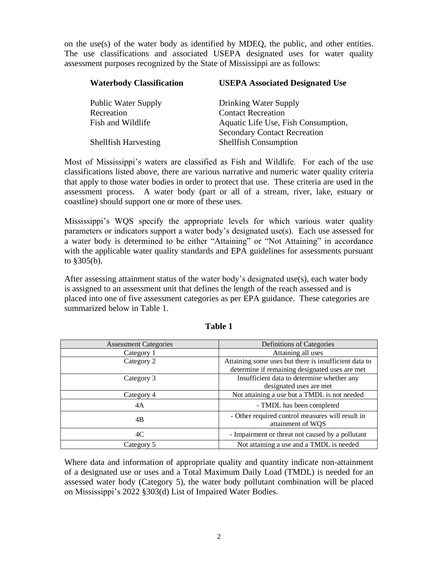on the use(s) of the water body as identified by MDEQ, the public, and other entities. The use classifications and associated USEPA designated uses for water quality assessment purposes recognized by the State of Mississippi are as follows:

| <b>Waterbody Classification</b> | <b>USEPA Associated Designated Use</b> |
|---------------------------------|----------------------------------------|
| <b>Public Water Supply</b>      | Drinking Water Supply                  |
| Recreation                      | <b>Contact Recreation</b>              |
| Fish and Wildlife               | Aquatic Life Use, Fish Consumption,    |
|                                 | <b>Secondary Contact Recreation</b>    |
| <b>Shellfish Harvesting</b>     | <b>Shellfish Consumption</b>           |

Most of Mississippi's waters are classified as Fish and Wildlife. For each of the use classifications listed above, there are various narrative and numeric water quality criteria that apply to those water bodies in order to protect that use. These criteria are used in the assessment process. A water body (part or all of a stream, river, lake, estuary or coastline) should support one or more of these uses.

Mississippi's WQS specify the appropriate levels for which various water quality parameters or indicators support a water body's designated use(s). Each use assessed for a water body is determined to be either "Attaining" or "Not Attaining" in accordance with the applicable water quality standards and EPA guidelines for assessments pursuant to §305(b).

After assessing attainment status of the water body's designated use(s), each water body is assigned to an assessment unit that defines the length of the reach assessed and is placed into one of five assessment categories as per EPA guidance. These categories are summarized below in Table 1.

| <b>Assessment Categories</b> | Definitions of Categories                                             |  |  |  |
|------------------------------|-----------------------------------------------------------------------|--|--|--|
| Category 1                   | Attaining all uses                                                    |  |  |  |
| Category 2                   | Attaining some uses but there is insufficient data to                 |  |  |  |
|                              | determine if remaining designated uses are met                        |  |  |  |
| Category 3                   | Insufficient data to determine whether any                            |  |  |  |
|                              | designated uses are met                                               |  |  |  |
| Category 4                   | Not attaining a use but a TMDL is not needed                          |  |  |  |
| 4A                           | - TMDL has been completed                                             |  |  |  |
| 4B                           | - Other required control measures will result in<br>attainment of WQS |  |  |  |
| 4C                           | - Impairment or threat not caused by a pollutant                      |  |  |  |
| Category 5                   | Not attaining a use and a TMDL is needed                              |  |  |  |

**Table 1**

Where data and information of appropriate quality and quantity indicate non-attainment of a designated use or uses and a Total Maximum Daily Load (TMDL) is needed for an assessed water body (Category 5), the water body pollutant combination will be placed on Mississippi's 2022 §303(d) List of Impaired Water Bodies.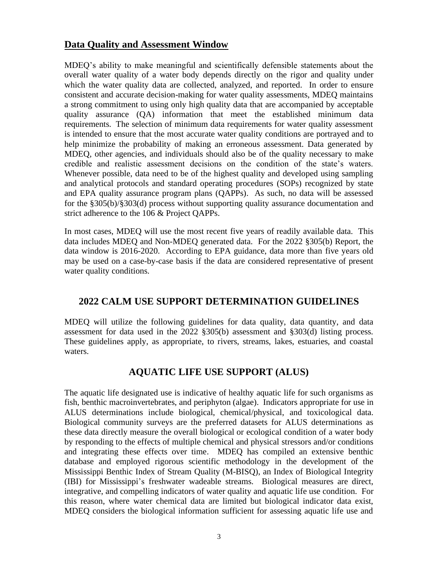## **Data Quality and Assessment Window**

MDEQ's ability to make meaningful and scientifically defensible statements about the overall water quality of a water body depends directly on the rigor and quality under which the water quality data are collected, analyzed, and reported. In order to ensure consistent and accurate decision-making for water quality assessments, MDEQ maintains a strong commitment to using only high quality data that are accompanied by acceptable quality assurance (QA) information that meet the established minimum data requirements. The selection of minimum data requirements for water quality assessment is intended to ensure that the most accurate water quality conditions are portrayed and to help minimize the probability of making an erroneous assessment. Data generated by MDEQ, other agencies, and individuals should also be of the quality necessary to make credible and realistic assessment decisions on the condition of the state's waters. Whenever possible, data need to be of the highest quality and developed using sampling and analytical protocols and standard operating procedures (SOPs) recognized by state and EPA quality assurance program plans (QAPPs). As such, no data will be assessed for the §305(b)/§303(d) process without supporting quality assurance documentation and strict adherence to the 106 & Project QAPPs.

In most cases, MDEQ will use the most recent five years of readily available data. This data includes MDEQ and Non-MDEQ generated data. For the 2022 §305(b) Report, the data window is 2016-2020. According to EPA guidance, data more than five years old may be used on a case-by-case basis if the data are considered representative of present water quality conditions.

## **2022 CALM USE SUPPORT DETERMINATION GUIDELINES**

MDEQ will utilize the following guidelines for data quality, data quantity, and data assessment for data used in the 2022 §305(b) assessment and §303(d) listing process. These guidelines apply, as appropriate, to rivers, streams, lakes, estuaries, and coastal waters.

## **AQUATIC LIFE USE SUPPORT (ALUS)**

The aquatic life designated use is indicative of healthy aquatic life for such organisms as fish, benthic macroinvertebrates, and periphyton (algae). Indicators appropriate for use in ALUS determinations include biological, chemical/physical, and toxicological data. Biological community surveys are the preferred datasets for ALUS determinations as these data directly measure the overall biological or ecological condition of a water body by responding to the effects of multiple chemical and physical stressors and/or conditions and integrating these effects over time. MDEQ has compiled an extensive benthic database and employed rigorous scientific methodology in the development of the Mississippi Benthic Index of Stream Quality (M-BISQ), an Index of Biological Integrity (IBI) for Mississippi's freshwater wadeable streams. Biological measures are direct, integrative, and compelling indicators of water quality and aquatic life use condition. For this reason, where water chemical data are limited but biological indicator data exist, MDEQ considers the biological information sufficient for assessing aquatic life use and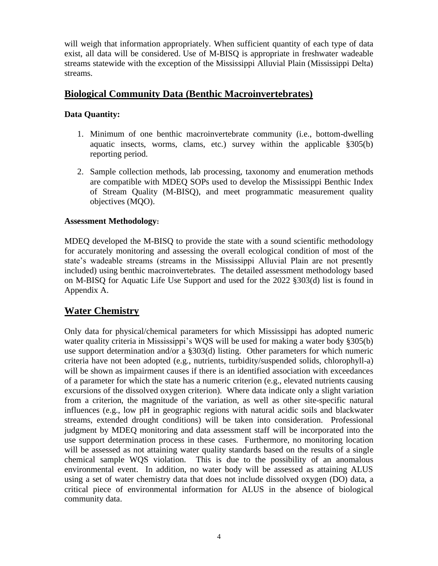will weigh that information appropriately. When sufficient quantity of each type of data exist, all data will be considered. Use of M-BISQ is appropriate in freshwater wadeable streams statewide with the exception of the Mississippi Alluvial Plain (Mississippi Delta) streams.

## **Biological Community Data (Benthic Macroinvertebrates)**

## **Data Quantity:**

- 1. Minimum of one benthic macroinvertebrate community (i.e., bottom-dwelling aquatic insects, worms, clams, etc.) survey within the applicable §305(b) reporting period.
- 2. Sample collection methods, lab processing, taxonomy and enumeration methods are compatible with MDEQ SOPs used to develop the Mississippi Benthic Index of Stream Quality (M-BISQ), and meet programmatic measurement quality objectives (MQO).

### **Assessment Methodology:**

MDEQ developed the M-BISQ to provide the state with a sound scientific methodology for accurately monitoring and assessing the overall ecological condition of most of the state's wadeable streams (streams in the Mississippi Alluvial Plain are not presently included) using benthic macroinvertebrates. The detailed assessment methodology based on M-BISQ for Aquatic Life Use Support and used for the 2022 §303(d) list is found in Appendix A.

## **Water Chemistry**

Only data for physical/chemical parameters for which Mississippi has adopted numeric water quality criteria in Mississippi's WQS will be used for making a water body §305(b) use support determination and/or a §303(d) listing. Other parameters for which numeric criteria have not been adopted (e.g., nutrients, turbidity/suspended solids, chlorophyll-a) will be shown as impairment causes if there is an identified association with exceedances of a parameter for which the state has a numeric criterion (e.g., elevated nutrients causing excursions of the dissolved oxygen criterion). Where data indicate only a slight variation from a criterion, the magnitude of the variation, as well as other site-specific natural influences (e.g., low pH in geographic regions with natural acidic soils and blackwater streams, extended drought conditions) will be taken into consideration. Professional judgment by MDEQ monitoring and data assessment staff will be incorporated into the use support determination process in these cases. Furthermore, no monitoring location will be assessed as not attaining water quality standards based on the results of a single chemical sample WQS violation. This is due to the possibility of an anomalous environmental event. In addition, no water body will be assessed as attaining ALUS using a set of water chemistry data that does not include dissolved oxygen (DO) data, a critical piece of environmental information for ALUS in the absence of biological community data.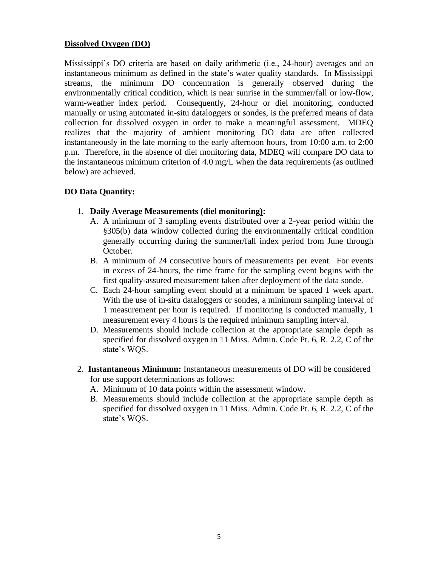### **Dissolved Oxygen (DO)**

Mississippi's DO criteria are based on daily arithmetic (i.e., 24-hour) averages and an instantaneous minimum as defined in the state's water quality standards. In Mississippi streams, the minimum DO concentration is generally observed during the environmentally critical condition, which is near sunrise in the summer/fall or low-flow, warm-weather index period. Consequently, 24-hour or diel monitoring, conducted manually or using automated in-situ dataloggers or sondes, is the preferred means of data collection for dissolved oxygen in order to make a meaningful assessment. MDEQ realizes that the majority of ambient monitoring DO data are often collected instantaneously in the late morning to the early afternoon hours, from 10:00 a.m. to 2:00 p.m. Therefore, in the absence of diel monitoring data, MDEQ will compare DO data to the instantaneous minimum criterion of 4.0 mg/L when the data requirements (as outlined below) are achieved.

### **DO Data Quantity:**

- 1. **Daily Average Measurements (diel monitoring):** 
	- A. A minimum of 3 sampling events distributed over a 2-year period within the §305(b) data window collected during the environmentally critical condition generally occurring during the summer/fall index period from June through October.
	- B. A minimum of 24 consecutive hours of measurements per event. For events in excess of 24-hours, the time frame for the sampling event begins with the first quality-assured measurement taken after deployment of the data sonde.
	- C. Each 24-hour sampling event should at a minimum be spaced 1 week apart. With the use of in-situ dataloggers or sondes, a minimum sampling interval of 1 measurement per hour is required. If monitoring is conducted manually, 1 measurement every 4 hours is the required minimum sampling interval.
	- D. Measurements should include collection at the appropriate sample depth as specified for dissolved oxygen in 11 Miss. Admin. Code Pt. 6, R. 2.2, C of the state's WQS.
- 2. **Instantaneous Minimum:** Instantaneous measurements of DO will be considered for use support determinations as follows:
	- A. Minimum of 10 data points within the assessment window.
	- B. Measurements should include collection at the appropriate sample depth as specified for dissolved oxygen in 11 Miss. Admin. Code Pt. 6, R. 2.2, C of the state's WQS.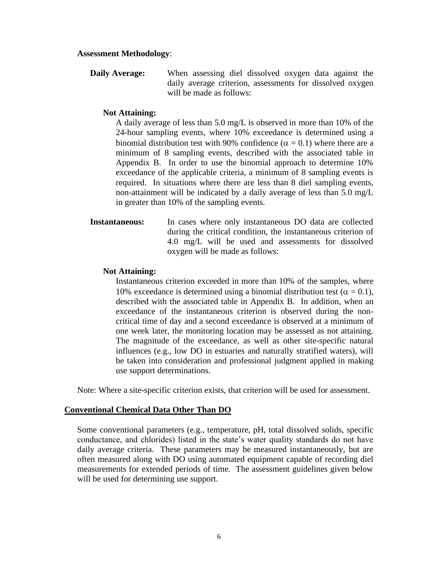#### **Assessment Methodology**:

**Daily Average:** When assessing diel dissolved oxygen data against the daily average criterion, assessments for dissolved oxygen will be made as follows:

#### **Not Attaining:**

A daily average of less than 5.0 mg/L is observed in more than 10% of the 24-hour sampling events, where 10% exceedance is determined using a binomial distribution test with 90% confidence ( $\alpha = 0.1$ ) where there are a minimum of 8 sampling events, described with the associated table in Appendix B. In order to use the binomial approach to determine 10% exceedance of the applicable criteria, a minimum of 8 sampling events is required. In situations where there are less than 8 diel sampling events, non-attainment will be indicated by a daily average of less than 5.0 mg/L in greater than 10% of the sampling events.

**Instantaneous:** In cases where only instantaneous DO data are collected during the critical condition, the instantaneous criterion of 4.0 mg/L will be used and assessments for dissolved oxygen will be made as follows:

#### **Not Attaining:**

Instantaneous criterion exceeded in more than 10% of the samples, where 10% exceedance is determined using a binomial distribution test ( $\alpha = 0.1$ ), described with the associated table in Appendix B. In addition, when an exceedance of the instantaneous criterion is observed during the noncritical time of day and a second exceedance is observed at a minimum of one week later, the monitoring location may be assessed as not attaining. The magnitude of the exceedance, as well as other site-specific natural influences (e.g., low DO in estuaries and naturally stratified waters), will be taken into consideration and professional judgment applied in making use support determinations.

Note: Where a site-specific criterion exists, that criterion will be used for assessment.

#### **Conventional Chemical Data Other Than DO**

Some conventional parameters (e.g., temperature, pH, total dissolved solids, specific conductance, and chlorides) listed in the state's water quality standards do not have daily average criteria. These parameters may be measured instantaneously, but are often measured along with DO using automated equipment capable of recording diel measurements for extended periods of time. The assessment guidelines given below will be used for determining use support.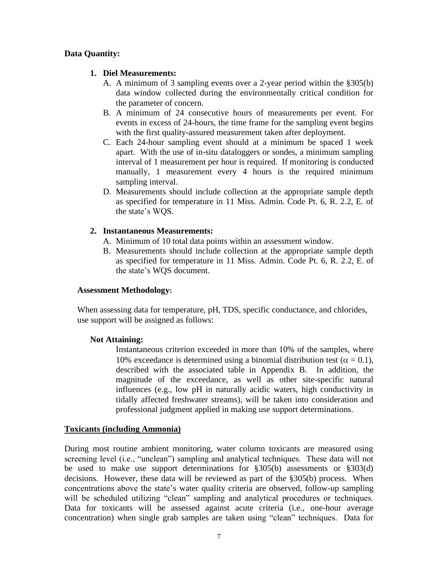### **Data Quantity:**

### **1. Diel Measurements:**

- A. A minimum of 3 sampling events over a 2-year period within the §305(b) data window collected during the environmentally critical condition for the parameter of concern.
- B. A minimum of 24 consecutive hours of measurements per event. For events in excess of 24-hours, the time frame for the sampling event begins with the first quality-assured measurement taken after deployment.
- C. Each 24-hour sampling event should at a minimum be spaced 1 week apart. With the use of in-situ dataloggers or sondes, a minimum sampling interval of 1 measurement per hour is required. If monitoring is conducted manually, 1 measurement every 4 hours is the required minimum sampling interval.
- D. Measurements should include collection at the appropriate sample depth as specified for temperature in 11 Miss. Admin. Code Pt. 6, R. 2.2, E. of the state's WQS.

### **2. Instantaneous Measurements:**

- A. Minimum of 10 total data points within an assessment window.
- B. Measurements should include collection at the appropriate sample depth as specified for temperature in 11 Miss. Admin. Code Pt. 6, R. 2.2, E. of the state's WQS document.

#### **Assessment Methodology:**

When assessing data for temperature, pH, TDS, specific conductance, and chlorides, use support will be assigned as follows:

#### **Not Attaining:**

Instantaneous criterion exceeded in more than 10% of the samples, where 10% exceedance is determined using a binomial distribution test ( $\alpha = 0.1$ ), described with the associated table in Appendix B. In addition, the magnitude of the exceedance, as well as other site-specific natural influences (e.g., low pH in naturally acidic waters, high conductivity in tidally affected freshwater streams), will be taken into consideration and professional judgment applied in making use support determinations.

### **Toxicants (including Ammonia)**

During most routine ambient monitoring, water column toxicants are measured using screening level (i.e., "unclean") sampling and analytical techniques. These data will not be used to make use support determinations for §305(b) assessments or §303(d) decisions. However, these data will be reviewed as part of the §305(b) process. When concentrations above the state's water quality criteria are observed, follow-up sampling will be scheduled utilizing "clean" sampling and analytical procedures or techniques. Data for toxicants will be assessed against acute criteria (i.e., one-hour average concentration) when single grab samples are taken using "clean" techniques. Data for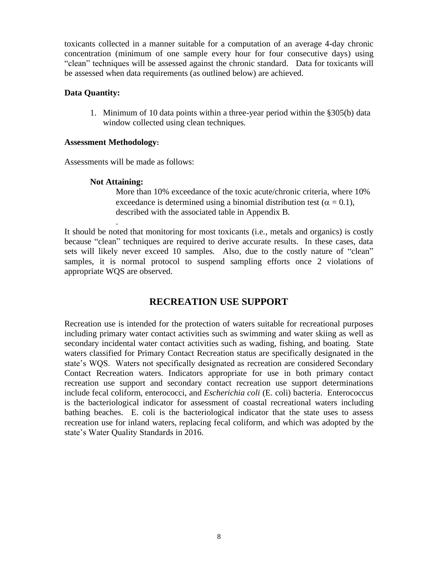toxicants collected in a manner suitable for a computation of an average 4-day chronic concentration (minimum of one sample every hour for four consecutive days) using "clean" techniques will be assessed against the chronic standard. Data for toxicants will be assessed when data requirements (as outlined below) are achieved.

#### **Data Quantity:**

1. Minimum of 10 data points within a three-year period within the §305(b) data window collected using clean techniques.

#### **Assessment Methodology:**

Assessments will be made as follows:

#### **Not Attaining:**

.

More than 10% exceedance of the toxic acute/chronic criteria, where 10% exceedance is determined using a binomial distribution test ( $\alpha = 0.1$ ), described with the associated table in Appendix B.

It should be noted that monitoring for most toxicants (i.e., metals and organics) is costly because "clean" techniques are required to derive accurate results. In these cases, data sets will likely never exceed 10 samples. Also, due to the costly nature of "clean" samples, it is normal protocol to suspend sampling efforts once 2 violations of appropriate WQS are observed.

## **RECREATION USE SUPPORT**

Recreation use is intended for the protection of waters suitable for recreational purposes including primary water contact activities such as swimming and water skiing as well as secondary incidental water contact activities such as wading, fishing, and boating. State waters classified for Primary Contact Recreation status are specifically designated in the state's WQS. Waters not specifically designated as recreation are considered Secondary Contact Recreation waters. Indicators appropriate for use in both primary contact recreation use support and secondary contact recreation use support determinations include fecal coliform, enterococci, and *Escherichia coli* (E. coli) bacteria. Enterococcus is the bacteriological indicator for assessment of coastal recreational waters including bathing beaches. E. coli is the bacteriological indicator that the state uses to assess recreation use for inland waters, replacing fecal coliform, and which was adopted by the state's Water Quality Standards in 2016.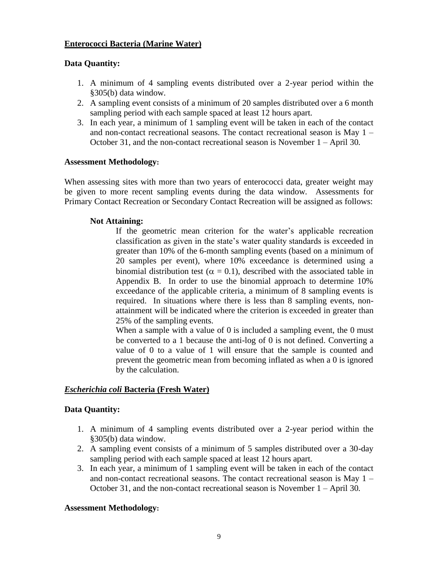### **Enterococci Bacteria (Marine Water)**

### **Data Quantity:**

- 1. A minimum of 4 sampling events distributed over a 2-year period within the §305(b) data window.
- 2. A sampling event consists of a minimum of 20 samples distributed over a 6 month sampling period with each sample spaced at least 12 hours apart.
- 3. In each year, a minimum of 1 sampling event will be taken in each of the contact and non-contact recreational seasons. The contact recreational season is May 1 – October 31, and the non-contact recreational season is November 1 – April 30.

#### **Assessment Methodology:**

When assessing sites with more than two years of enterococci data, greater weight may be given to more recent sampling events during the data window. Assessments for Primary Contact Recreation or Secondary Contact Recreation will be assigned as follows:

#### **Not Attaining:**

If the geometric mean criterion for the water's applicable recreation classification as given in the state's water quality standards is exceeded in greater than 10% of the 6-month sampling events (based on a minimum of 20 samples per event), where 10% exceedance is determined using a binomial distribution test ( $\alpha = 0.1$ ), described with the associated table in Appendix B. In order to use the binomial approach to determine 10% exceedance of the applicable criteria, a minimum of 8 sampling events is required. In situations where there is less than 8 sampling events, nonattainment will be indicated where the criterion is exceeded in greater than 25% of the sampling events.

When a sample with a value of 0 is included a sampling event, the 0 must be converted to a 1 because the anti-log of 0 is not defined. Converting a value of 0 to a value of 1 will ensure that the sample is counted and prevent the geometric mean from becoming inflated as when a 0 is ignored by the calculation.

#### *Escherichia coli* **Bacteria (Fresh Water)**

#### **Data Quantity:**

- 1. A minimum of 4 sampling events distributed over a 2-year period within the §305(b) data window.
- 2. A sampling event consists of a minimum of 5 samples distributed over a 30-day sampling period with each sample spaced at least 12 hours apart.
- 3. In each year, a minimum of 1 sampling event will be taken in each of the contact and non-contact recreational seasons. The contact recreational season is May 1 – October 31, and the non-contact recreational season is November 1 – April 30.

#### **Assessment Methodology:**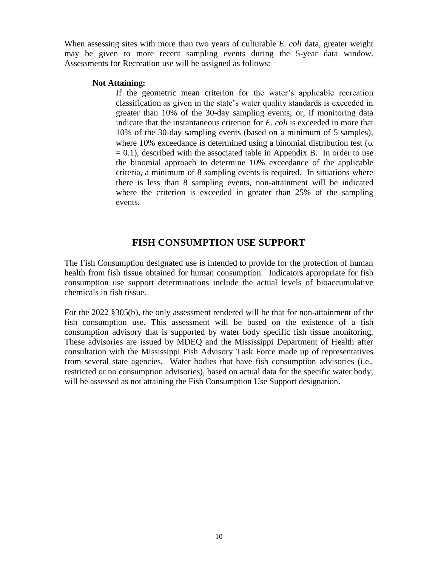When assessing sites with more than two years of culturable *E. coli* data, greater weight may be given to more recent sampling events during the 5-year data window. Assessments for Recreation use will be assigned as follows:

#### **Not Attaining:**

If the geometric mean criterion for the water's applicable recreation classification as given in the state's water quality standards is exceeded in greater than 10% of the 30-day sampling events; or, if monitoring data indicate that the instantaneous criterion for *E. coli* is exceeded in more that 10% of the 30-day sampling events (based on a minimum of 5 samples), where 10% exceedance is determined using a binomial distribution test ( $\alpha$ )  $= 0.1$ ), described with the associated table in Appendix B. In order to use the binomial approach to determine 10% exceedance of the applicable criteria, a minimum of 8 sampling events is required. In situations where there is less than 8 sampling events, non-attainment will be indicated where the criterion is exceeded in greater than 25% of the sampling events.

## **FISH CONSUMPTION USE SUPPORT**

The Fish Consumption designated use is intended to provide for the protection of human health from fish tissue obtained for human consumption. Indicators appropriate for fish consumption use support determinations include the actual levels of bioaccumulative chemicals in fish tissue.

For the 2022 §305(b), the only assessment rendered will be that for non-attainment of the fish consumption use. This assessment will be based on the existence of a fish consumption advisory that is supported by water body specific fish tissue monitoring. These advisories are issued by MDEQ and the Mississippi Department of Health after consultation with the Mississippi Fish Advisory Task Force made up of representatives from several state agencies. Water bodies that have fish consumption advisories (i.e., restricted or no consumption advisories), based on actual data for the specific water body, will be assessed as not attaining the Fish Consumption Use Support designation.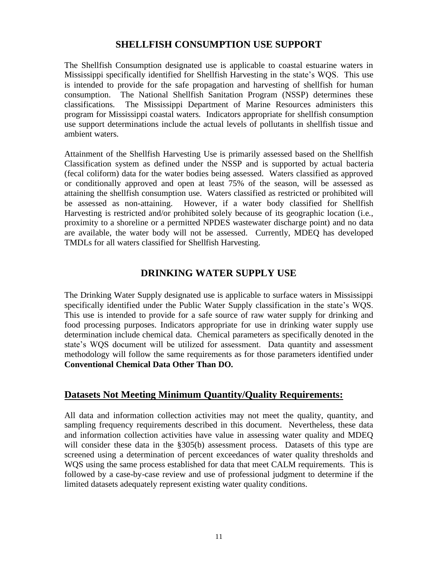## **SHELLFISH CONSUMPTION USE SUPPORT**

The Shellfish Consumption designated use is applicable to coastal estuarine waters in Mississippi specifically identified for Shellfish Harvesting in the state's WQS.This use is intended to provide for the safe propagation and harvesting of shellfish for human consumption. The National Shellfish Sanitation Program (NSSP) determines these classifications. The Mississippi Department of Marine Resources administers this program for Mississippi coastal waters. Indicators appropriate for shellfish consumption use support determinations include the actual levels of pollutants in shellfish tissue and ambient waters.

Attainment of the Shellfish Harvesting Use is primarily assessed based on the Shellfish Classification system as defined under the NSSP and is supported by actual bacteria (fecal coliform) data for the water bodies being assessed. Waters classified as approved or conditionally approved and open at least 75% of the season, will be assessed as attaining the shellfish consumption use. Waters classified as restricted or prohibited will be assessed as non-attaining. However, if a water body classified for Shellfish Harvesting is restricted and/or prohibited solely because of its geographic location (i.e., proximity to a shoreline or a permitted NPDES wastewater discharge point) and no data are available, the water body will not be assessed. Currently, MDEQ has developed TMDLs for all waters classified for Shellfish Harvesting.

## **DRINKING WATER SUPPLY USE**

The Drinking Water Supply designated use is applicable to surface waters in Mississippi specifically identified under the Public Water Supply classification in the state's WQS. This use is intended to provide for a safe source of raw water supply for drinking and food processing purposes. Indicators appropriate for use in drinking water supply use determination include chemical data. Chemical parameters as specifically denoted in the state's WQS document will be utilized for assessment. Data quantity and assessment methodology will follow the same requirements as for those parameters identified under **Conventional Chemical Data Other Than DO.**

## **Datasets Not Meeting Minimum Quantity/Quality Requirements:**

All data and information collection activities may not meet the quality, quantity, and sampling frequency requirements described in this document. Nevertheless, these data and information collection activities have value in assessing water quality and MDEQ will consider these data in the §305(b) assessment process. Datasets of this type are screened using a determination of percent exceedances of water quality thresholds and WQS using the same process established for data that meet CALM requirements. This is followed by a case-by-case review and use of professional judgment to determine if the limited datasets adequately represent existing water quality conditions.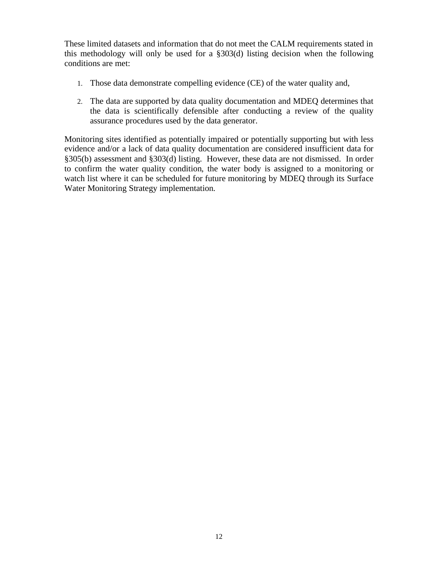These limited datasets and information that do not meet the CALM requirements stated in this methodology will only be used for a §303(d) listing decision when the following conditions are met:

- 1. Those data demonstrate compelling evidence (CE) of the water quality and,
- 2. The data are supported by data quality documentation and MDEQ determines that the data is scientifically defensible after conducting a review of the quality assurance procedures used by the data generator.

Monitoring sites identified as potentially impaired or potentially supporting but with less evidence and/or a lack of data quality documentation are considered insufficient data for §305(b) assessment and §303(d) listing. However, these data are not dismissed. In order to confirm the water quality condition, the water body is assigned to a monitoring or watch list where it can be scheduled for future monitoring by MDEQ through its Surface Water Monitoring Strategy implementation.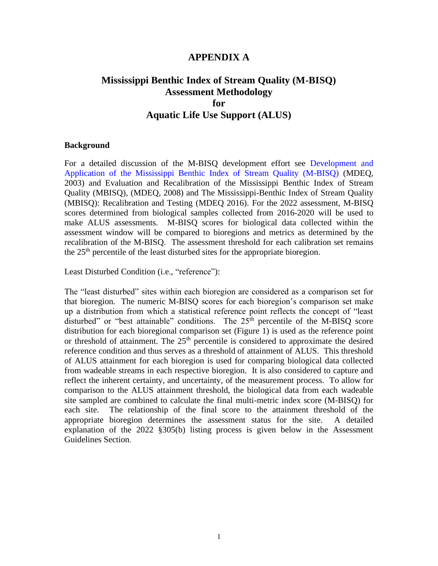### **APPENDIX A**

## **Mississippi Benthic Index of Stream Quality (M-BISQ) Assessment Methodology for Aquatic Life Use Support (ALUS)**

#### **Background**

For a detailed discussion of the M-BISQ development effort see [Development and](http://deq.state.ms.us/MDEQ.nsf/pdf/WMB_M_BISQReport/$File/M-BISQReport.pdf?OpenElement)  [Application of the Mississippi Benthic Index of Stream Quality \(M-BISQ\)](http://deq.state.ms.us/MDEQ.nsf/pdf/WMB_M_BISQReport/$File/M-BISQReport.pdf?OpenElement) (MDEQ, 2003) and Evaluation and Recalibration of the Mississippi Benthic Index of Stream Quality (MBISQ), (MDEQ, 2008) and The Mississippi-Benthic Index of Stream Quality (MBISQ): Recalibration and Testing (MDEQ 2016). For the 2022 assessment, M-BISQ scores determined from biological samples collected from 2016-2020 will be used to make ALUS assessments. M-BISQ scores for biological data collected within the assessment window will be compared to bioregions and metrics as determined by the recalibration of the M-BISQ. The assessment threshold for each calibration set remains the  $25<sup>th</sup>$  percentile of the least disturbed sites for the appropriate bioregion.

Least Disturbed Condition (i.e., "reference"):

The "least disturbed" sites within each bioregion are considered as a comparison set for that bioregion. The numeric M-BISQ scores for each bioregion's comparison set make up a distribution from which a statistical reference point reflects the concept of "least disturbed" or "best attainable" conditions. The  $25<sup>th</sup>$  percentile of the M-BISQ score distribution for each bioregional comparison set (Figure 1) is used as the reference point or threshold of attainment. The  $25<sup>th</sup>$  percentile is considered to approximate the desired reference condition and thus serves as a threshold of attainment of ALUS. This threshold of ALUS attainment for each bioregion is used for comparing biological data collected from wadeable streams in each respective bioregion. It is also considered to capture and reflect the inherent certainty, and uncertainty, of the measurement process. To allow for comparison to the ALUS attainment threshold, the biological data from each wadeable site sampled are combined to calculate the final multi-metric index score (M-BISQ) for each site. The relationship of the final score to the attainment threshold of the appropriate bioregion determines the assessment status for the site. A detailed explanation of the 2022 §305(b) listing process is given below in the Assessment Guidelines Section.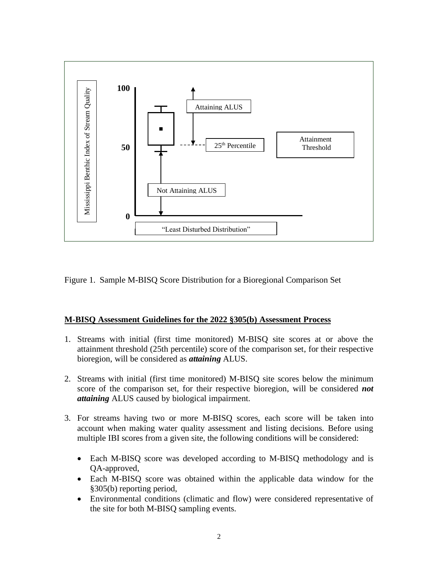

Figure 1. Sample M-BISQ Score Distribution for a Bioregional Comparison Set

### **M-BISQ Assessment Guidelines for the 2022 §305(b) Assessment Process**

- 1. Streams with initial (first time monitored) M-BISQ site scores at or above the attainment threshold (25th percentile) score of the comparison set, for their respective bioregion, will be considered as *attaining* ALUS.
- 2. Streams with initial (first time monitored) M-BISQ site scores below the minimum score of the comparison set, for their respective bioregion, will be considered *not attaining* ALUS caused by biological impairment.
- 3. For streams having two or more M-BISQ scores, each score will be taken into account when making water quality assessment and listing decisions. Before using multiple IBI scores from a given site, the following conditions will be considered:
	- Each M-BISO score was developed according to M-BISO methodology and is QA-approved,
	- Each M-BISQ score was obtained within the applicable data window for the §305(b) reporting period,
	- Environmental conditions (climatic and flow) were considered representative of the site for both M-BISQ sampling events.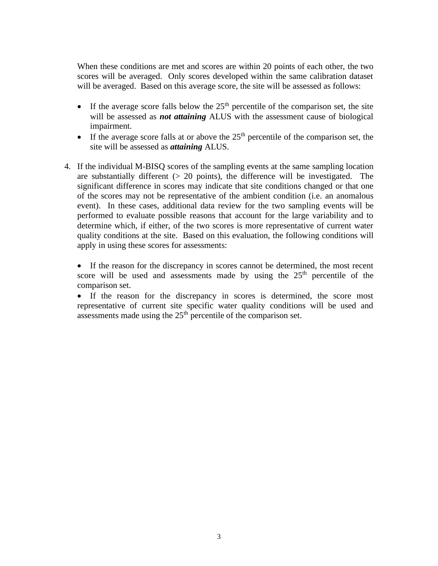When these conditions are met and scores are within 20 points of each other, the two scores will be averaged. Only scores developed within the same calibration dataset will be averaged. Based on this average score, the site will be assessed as follows:

- If the average score falls below the  $25<sup>th</sup>$  percentile of the comparison set, the site will be assessed as *not attaining* ALUS with the assessment cause of biological impairment.
- If the average score falls at or above the  $25<sup>th</sup>$  percentile of the comparison set, the site will be assessed as *attaining* ALUS.
- 4. If the individual M-BISQ scores of the sampling events at the same sampling location are substantially different  $(> 20 \text{ points})$ , the difference will be investigated. The significant difference in scores may indicate that site conditions changed or that one of the scores may not be representative of the ambient condition (i.e. an anomalous event). In these cases, additional data review for the two sampling events will be performed to evaluate possible reasons that account for the large variability and to determine which, if either, of the two scores is more representative of current water quality conditions at the site. Based on this evaluation, the following conditions will apply in using these scores for assessments:

• If the reason for the discrepancy in scores cannot be determined, the most recent score will be used and assessments made by using the  $25<sup>th</sup>$  percentile of the comparison set.

• If the reason for the discrepancy in scores is determined, the score most representative of current site specific water quality conditions will be used and assessments made using the  $25<sup>th</sup>$  percentile of the comparison set.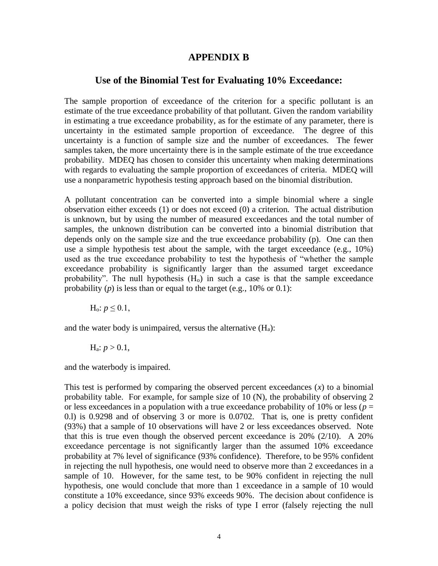#### **APPENDIX B**

#### **Use of the Binomial Test for Evaluating 10% Exceedance:**

The sample proportion of exceedance of the criterion for a specific pollutant is an estimate of the true exceedance probability of that pollutant. Given the random variability in estimating a true exceedance probability, as for the estimate of any parameter, there is uncertainty in the estimated sample proportion of exceedance. The degree of this uncertainty is a function of sample size and the number of exceedances. The fewer samples taken, the more uncertainty there is in the sample estimate of the true exceedance probability. MDEQ has chosen to consider this uncertainty when making determinations with regards to evaluating the sample proportion of exceedances of criteria. MDEQ will use a nonparametric hypothesis testing approach based on the binomial distribution.

A pollutant concentration can be converted into a simple binomial where a single observation either exceeds (1) or does not exceed (0) a criterion. The actual distribution is unknown, but by using the number of measured exceedances and the total number of samples, the unknown distribution can be converted into a binomial distribution that depends only on the sample size and the true exceedance probability (p). One can then use a simple hypothesis test about the sample, with the target exceedance (e.g., 10%) used as the true exceedance probability to test the hypothesis of "whether the sample exceedance probability is significantly larger than the assumed target exceedance probability". The null hypothesis  $(H<sub>o</sub>)$  in such a case is that the sample exceedance probability  $(p)$  is less than or equal to the target (e.g., 10% or 0.1):

 $H_0: p \leq 0.1$ ,

and the water body is unimpaired, versus the alternative  $(H_a)$ :

$$
H_a
$$
:  $p > 0.1$ ,

and the waterbody is impaired.

This test is performed by comparing the observed percent exceedances  $(x)$  to a binomial probability table. For example, for sample size of 10 (N), the probability of observing 2 or less exceedances in a population with a true exceedance probability of 10% or less ( $p =$ 0.l) is 0.9298 and of observing 3 or more is 0.0702. That is, one is pretty confident (93%) that a sample of 10 observations will have 2 or less exceedances observed. Note that this is true even though the observed percent exceedance is 20% (2/10). A 20% exceedance percentage is not significantly larger than the assumed 10% exceedance probability at 7% level of significance (93% confidence). Therefore, to be 95% confident in rejecting the null hypothesis, one would need to observe more than 2 exceedances in a sample of 10. However, for the same test, to be 90% confident in rejecting the null hypothesis, one would conclude that more than 1 exceedance in a sample of 10 would constitute a 10% exceedance, since 93% exceeds 90%. The decision about confidence is a policy decision that must weigh the risks of type I error (falsely rejecting the null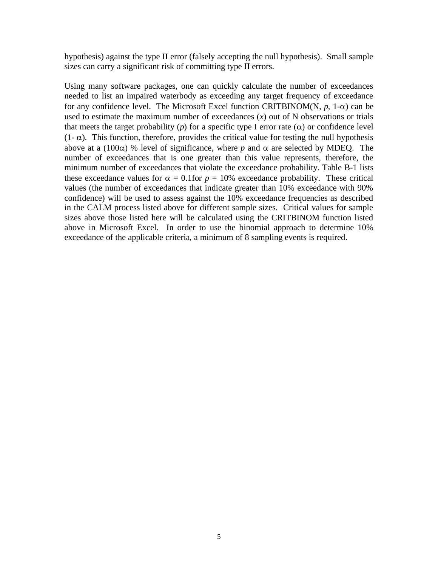hypothesis) against the type II error (falsely accepting the null hypothesis). Small sample sizes can carry a significant risk of committing type II errors.

Using many software packages, one can quickly calculate the number of exceedances needed to list an impaired waterbody as exceeding any target frequency of exceedance for any confidence level. The Microsoft Excel function CRITBINOM(N,  $p$ , 1- $\alpha$ ) can be used to estimate the maximum number of exceedances  $(x)$  out of N observations or trials that meets the target probability ( $p$ ) for a specific type I error rate ( $\alpha$ ) or confidence level  $(1 - \alpha)$ . This function, therefore, provides the critical value for testing the null hypothesis above at a (100 $\alpha$ ) % level of significance, where p and  $\alpha$  are selected by MDEQ. The number of exceedances that is one greater than this value represents, therefore, the minimum number of exceedances that violate the exceedance probability. Table B-1 lists these exceedance values for  $\alpha = 0.1$  for  $p = 10\%$  exceedance probability. These critical values (the number of exceedances that indicate greater than 10% exceedance with 90% confidence) will be used to assess against the 10% exceedance frequencies as described in the CALM process listed above for different sample sizes. Critical values for sample sizes above those listed here will be calculated using the CRITBINOM function listed above in Microsoft Excel. In order to use the binomial approach to determine 10% exceedance of the applicable criteria, a minimum of 8 sampling events is required.